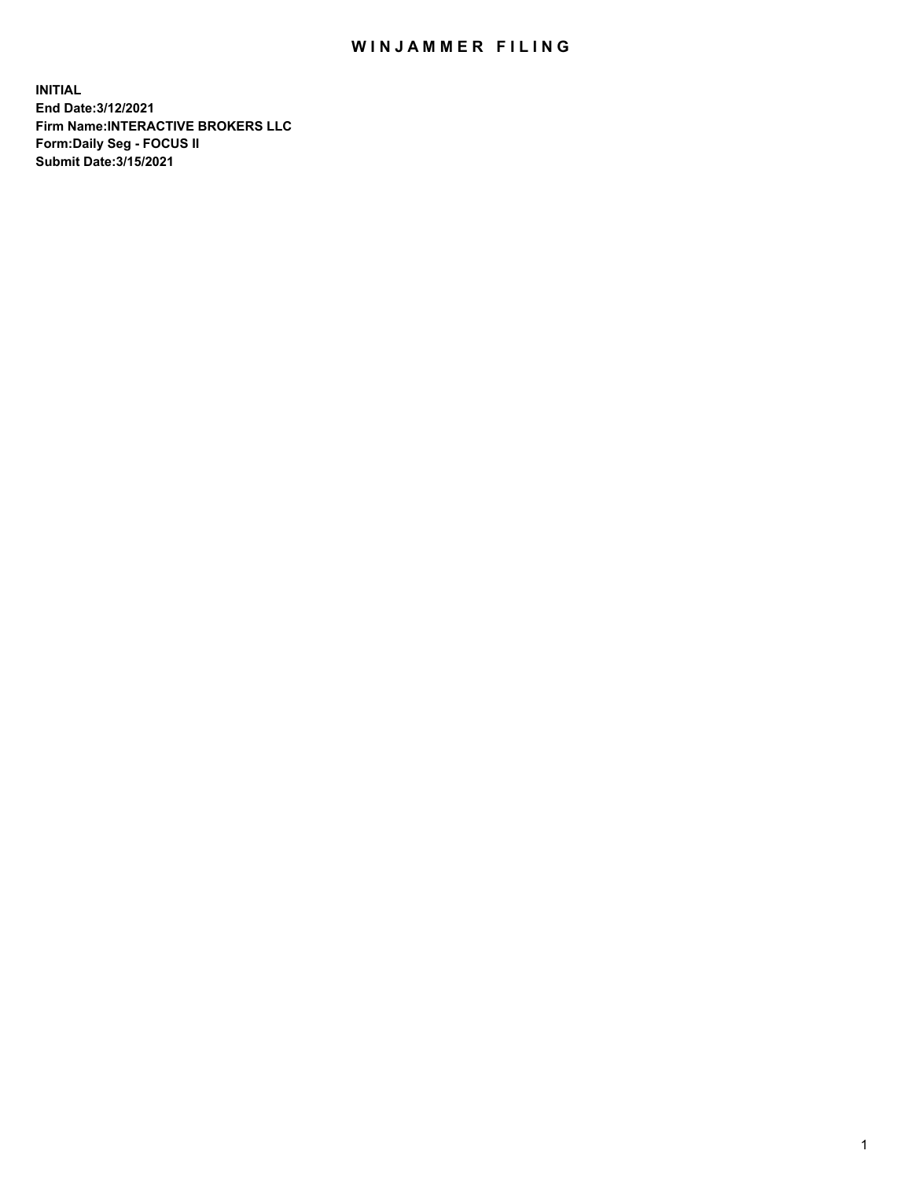## WIN JAMMER FILING

**INITIAL End Date:3/12/2021 Firm Name:INTERACTIVE BROKERS LLC Form:Daily Seg - FOCUS II Submit Date:3/15/2021**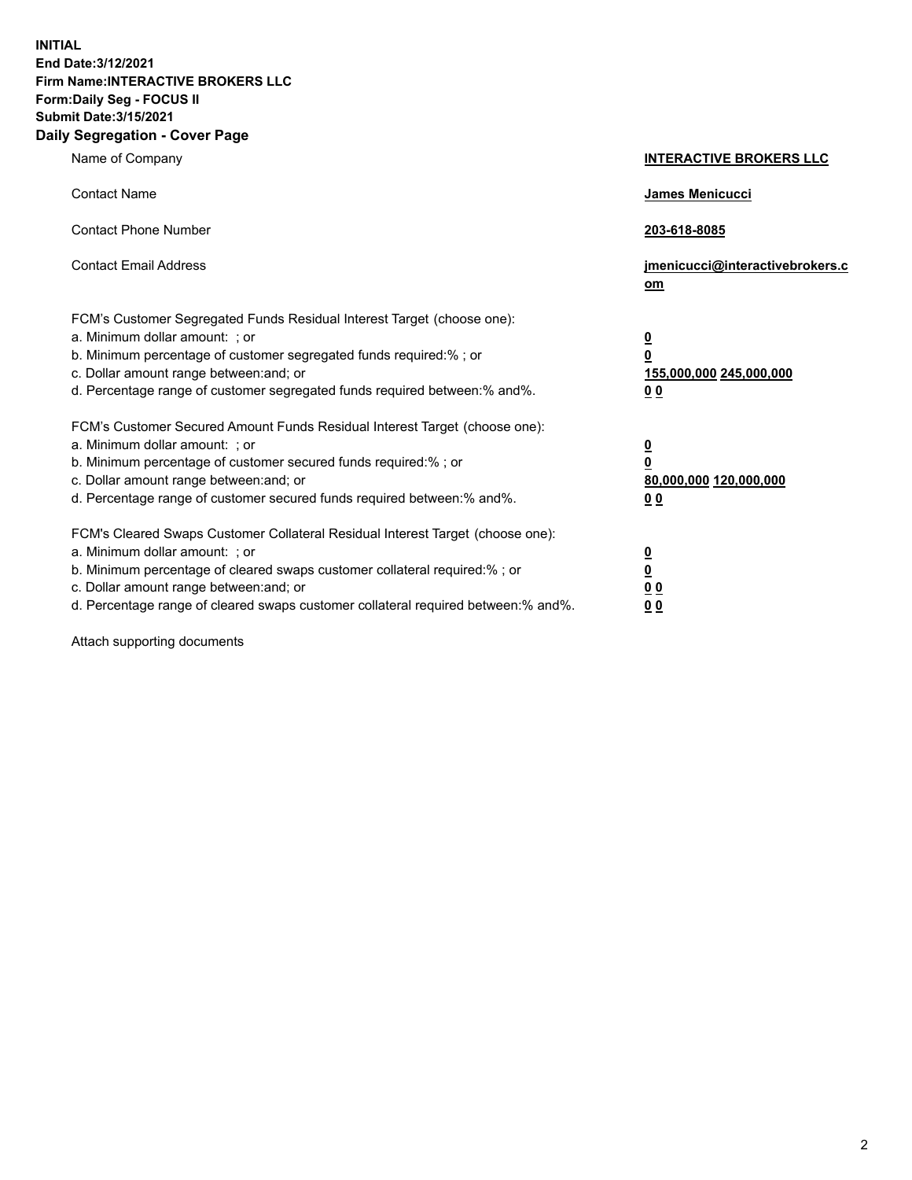**INITIAL End Date:3/12/2021 Firm Name:INTERACTIVE BROKERS LLC Form:Daily Seg - FOCUS II Submit Date:3/15/2021 Daily Segregation - Cover Page**

| Name of Company                                                                                                                                                                                                                                                                                                                | <b>INTERACTIVE BROKERS LLC</b>                                                                  |
|--------------------------------------------------------------------------------------------------------------------------------------------------------------------------------------------------------------------------------------------------------------------------------------------------------------------------------|-------------------------------------------------------------------------------------------------|
| <b>Contact Name</b>                                                                                                                                                                                                                                                                                                            | James Menicucci                                                                                 |
| <b>Contact Phone Number</b>                                                                                                                                                                                                                                                                                                    | 203-618-8085                                                                                    |
| <b>Contact Email Address</b>                                                                                                                                                                                                                                                                                                   | jmenicucci@interactivebrokers.c<br>om                                                           |
| FCM's Customer Segregated Funds Residual Interest Target (choose one):<br>a. Minimum dollar amount: ; or<br>b. Minimum percentage of customer segregated funds required:% ; or<br>c. Dollar amount range between: and; or<br>d. Percentage range of customer segregated funds required between:% and%.                         | $\overline{\mathbf{0}}$<br>$\overline{\mathbf{0}}$<br>155,000,000 245,000,000<br>0 <sub>0</sub> |
| FCM's Customer Secured Amount Funds Residual Interest Target (choose one):<br>a. Minimum dollar amount: ; or<br>b. Minimum percentage of customer secured funds required:% ; or<br>c. Dollar amount range between: and; or<br>d. Percentage range of customer secured funds required between:% and%.                           | $\overline{\mathbf{0}}$<br>0<br>80,000,000 120,000,000<br>0 <sub>0</sub>                        |
| FCM's Cleared Swaps Customer Collateral Residual Interest Target (choose one):<br>a. Minimum dollar amount: ; or<br>b. Minimum percentage of cleared swaps customer collateral required:% ; or<br>c. Dollar amount range between: and; or<br>d. Percentage range of cleared swaps customer collateral required between:% and%. | $\overline{\mathbf{0}}$<br><u>0</u><br>$\underline{0}$ $\underline{0}$<br>00                    |

Attach supporting documents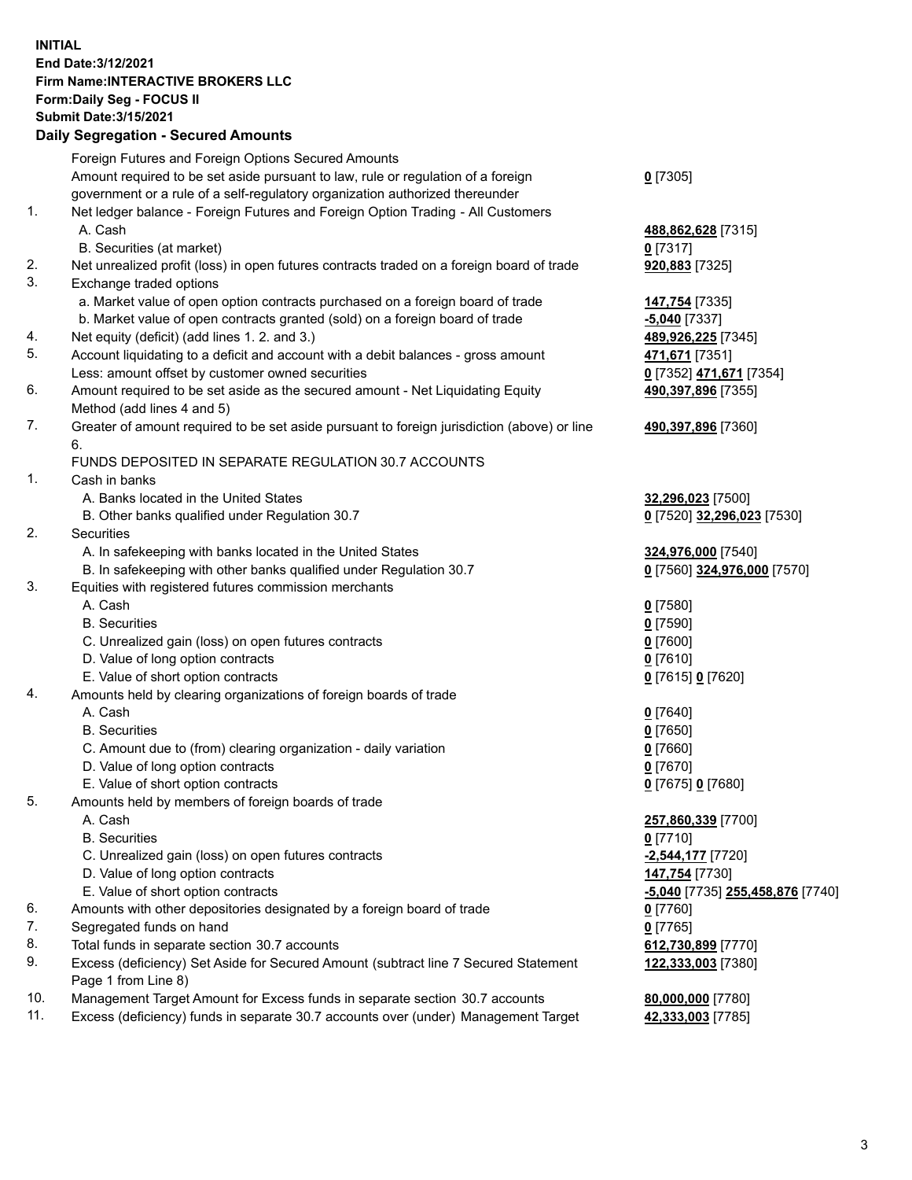## **INITIAL End Date:3/12/2021 Firm Name:INTERACTIVE BROKERS LLC Form:Daily Seg - FOCUS II Submit Date:3/15/2021 Daily Segregation - Secured Amounts**

|            | Daily Segregation - Secureu Amounts                                                         |                                         |
|------------|---------------------------------------------------------------------------------------------|-----------------------------------------|
|            | Foreign Futures and Foreign Options Secured Amounts                                         |                                         |
|            | Amount required to be set aside pursuant to law, rule or regulation of a foreign            | $0$ [7305]                              |
|            | government or a rule of a self-regulatory organization authorized thereunder                |                                         |
| 1.         | Net ledger balance - Foreign Futures and Foreign Option Trading - All Customers             |                                         |
|            | A. Cash                                                                                     | 488,862,628 [7315]                      |
|            | B. Securities (at market)                                                                   | $0$ [7317]                              |
| 2.         | Net unrealized profit (loss) in open futures contracts traded on a foreign board of trade   | 920,883 [7325]                          |
| 3.         | Exchange traded options                                                                     |                                         |
|            | a. Market value of open option contracts purchased on a foreign board of trade              | 147,754 [7335]                          |
|            | b. Market value of open contracts granted (sold) on a foreign board of trade                | $-5,040$ [7337]                         |
| 4.         | Net equity (deficit) (add lines 1. 2. and 3.)                                               | 489,926,225 [7345]                      |
| 5.         | Account liquidating to a deficit and account with a debit balances - gross amount           | 471,671 [7351]                          |
|            | Less: amount offset by customer owned securities                                            | 0 [7352] 471,671 [7354]                 |
| 6.         | Amount required to be set aside as the secured amount - Net Liquidating Equity              | 490,397,896 [7355]                      |
|            | Method (add lines 4 and 5)                                                                  |                                         |
| 7.         | Greater of amount required to be set aside pursuant to foreign jurisdiction (above) or line | 490,397,896 [7360]                      |
|            | 6.                                                                                          |                                         |
|            | FUNDS DEPOSITED IN SEPARATE REGULATION 30.7 ACCOUNTS                                        |                                         |
| 1.         | Cash in banks                                                                               |                                         |
|            | A. Banks located in the United States                                                       | 32,296,023 [7500]                       |
|            | B. Other banks qualified under Regulation 30.7                                              | 0 [7520] 32,296,023 [7530]              |
| 2.         | Securities                                                                                  |                                         |
|            | A. In safekeeping with banks located in the United States                                   | 324,976,000 [7540]                      |
|            | B. In safekeeping with other banks qualified under Regulation 30.7                          | 0 [7560] 324,976,000 [7570]             |
| 3.         | Equities with registered futures commission merchants                                       |                                         |
|            | A. Cash                                                                                     | $0$ [7580]                              |
|            | <b>B.</b> Securities                                                                        | $0$ [7590]                              |
|            | C. Unrealized gain (loss) on open futures contracts                                         | $0$ [7600]                              |
|            | D. Value of long option contracts                                                           | $0$ [7610]                              |
|            | E. Value of short option contracts                                                          | 0 [7615] 0 [7620]                       |
| 4.         | Amounts held by clearing organizations of foreign boards of trade                           |                                         |
|            | A. Cash                                                                                     | $0$ [7640]                              |
|            | <b>B.</b> Securities                                                                        | $0$ [7650]                              |
|            | C. Amount due to (from) clearing organization - daily variation                             | $0$ [7660]                              |
|            | D. Value of long option contracts                                                           | $0$ [7670]                              |
|            | E. Value of short option contracts                                                          | 0 [7675] 0 [7680]                       |
| 5.         | Amounts held by members of foreign boards of trade                                          |                                         |
|            | A. Cash                                                                                     | 257,860,339 [7700]                      |
|            | <b>B.</b> Securities                                                                        | $0$ [7710]                              |
|            | C. Unrealized gain (loss) on open futures contracts                                         | -2,544,177 [7720]                       |
|            | D. Value of long option contracts                                                           | 147,754 [7730]                          |
|            | E. Value of short option contracts                                                          | <u>-5,040</u> [7735] 255,458,876 [7740] |
| 6.         | Amounts with other depositories designated by a foreign board of trade                      | 0 [7760]                                |
| 7.         | Segregated funds on hand                                                                    | $0$ [7765]                              |
| 8.         | Total funds in separate section 30.7 accounts                                               | 612,730,899 [7770]                      |
| 9.         | Excess (deficiency) Set Aside for Secured Amount (subtract line 7 Secured Statement         | 122,333,003 [7380]                      |
|            | Page 1 from Line 8)                                                                         |                                         |
| 10.<br>11. | Management Target Amount for Excess funds in separate section 30.7 accounts                 | 80,000,000 [7780]                       |
|            | Excess (deficiency) funds in separate 30.7 accounts over (under) Management Target          | 42,333,003 [7785]                       |
|            |                                                                                             |                                         |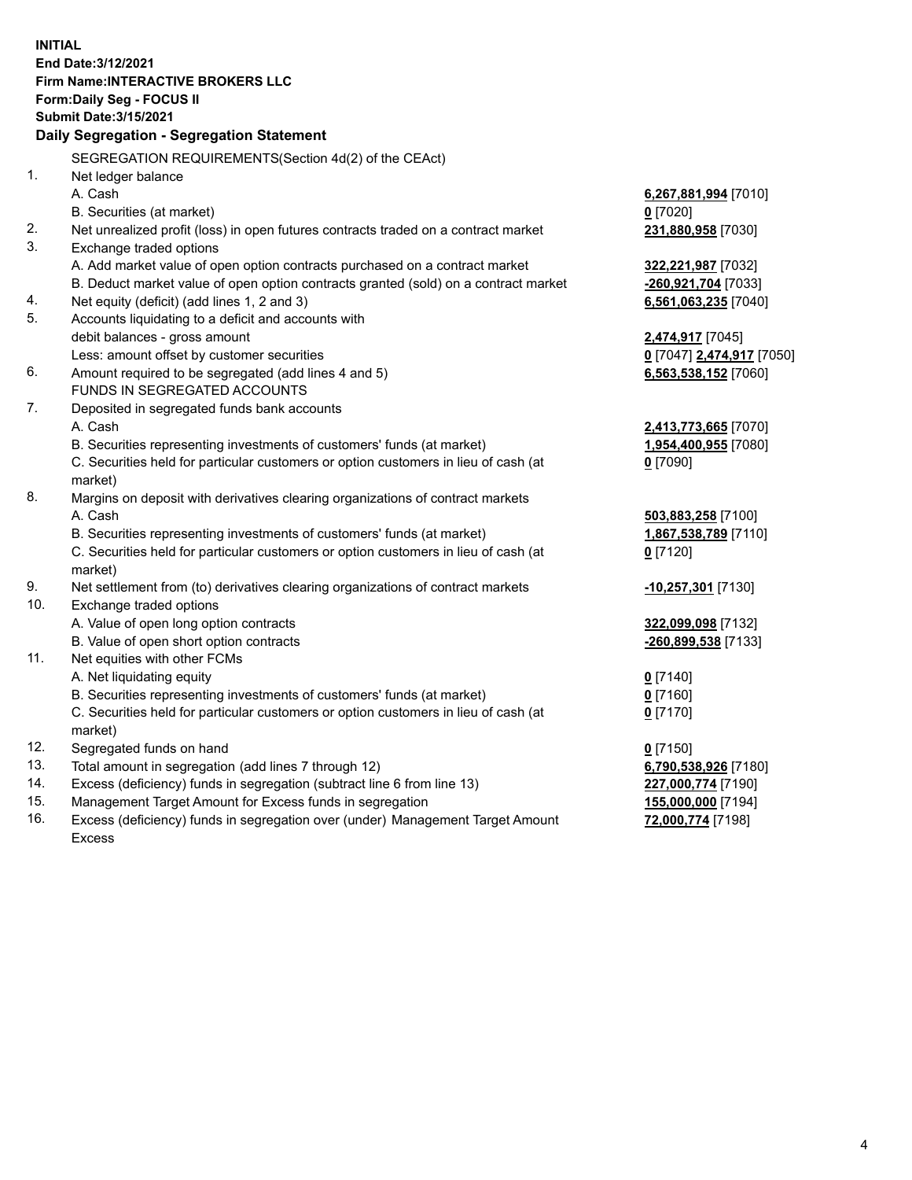**INITIAL End Date:3/12/2021 Firm Name:INTERACTIVE BROKERS LLC Form:Daily Seg - FOCUS II Submit Date:3/15/2021 Daily Segregation - Segregation Statement** SEGREGATION REQUIREMENTS(Section 4d(2) of the CEAct) 1. Net ledger balance A. Cash **6,267,881,994** [7010] B. Securities (at market) **0** [7020] 2. Net unrealized profit (loss) in open futures contracts traded on a contract market **231,880,958** [7030] 3. Exchange traded options A. Add market value of open option contracts purchased on a contract market **322,221,987** [7032] B. Deduct market value of open option contracts granted (sold) on a contract market **-260,921,704** [7033] 4. Net equity (deficit) (add lines 1, 2 and 3) **6,561,063,235** [7040] 5. Accounts liquidating to a deficit and accounts with debit balances - gross amount **2,474,917** [7045] Less: amount offset by customer securities **0** [7047] **2,474,917** [7050] 6. Amount required to be segregated (add lines 4 and 5) **6,563,538,152** [7060] FUNDS IN SEGREGATED ACCOUNTS 7. Deposited in segregated funds bank accounts A. Cash **2,413,773,665** [7070] B. Securities representing investments of customers' funds (at market) **1,954,400,955** [7080] C. Securities held for particular customers or option customers in lieu of cash (at market) **0** [7090] 8. Margins on deposit with derivatives clearing organizations of contract markets A. Cash **503,883,258** [7100] B. Securities representing investments of customers' funds (at market) **1,867,538,789** [7110] C. Securities held for particular customers or option customers in lieu of cash (at market) **0** [7120] 9. Net settlement from (to) derivatives clearing organizations of contract markets **-10,257,301** [7130] 10. Exchange traded options A. Value of open long option contracts **322,099,098** [7132] B. Value of open short option contracts **-260,899,538** [7133] 11. Net equities with other FCMs A. Net liquidating equity **0** [7140] B. Securities representing investments of customers' funds (at market) **0** [7160] C. Securities held for particular customers or option customers in lieu of cash (at market) **0** [7170] 12. Segregated funds on hand **0** [7150] 13. Total amount in segregation (add lines 7 through 12) **6,790,538,926** [7180] 14. Excess (deficiency) funds in segregation (subtract line 6 from line 13) **227,000,774** [7190] 15. Management Target Amount for Excess funds in segregation **155,000,000** [7194] 16. Excess (deficiency) funds in segregation over (under) Management Target Amount **72,000,774** [7198]

Excess